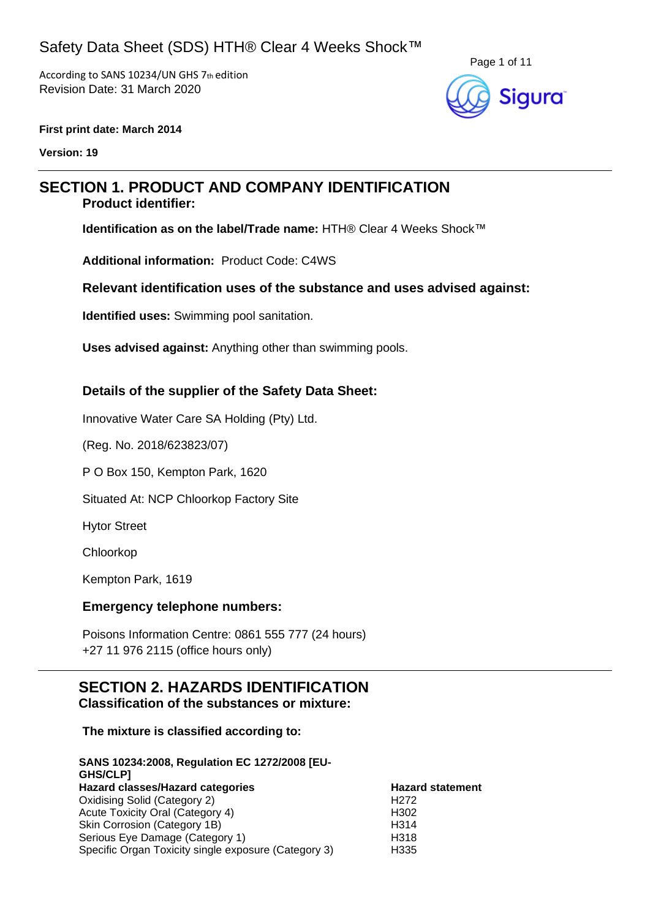According to SANS 10234/UN GHS 7th edition Revision Date: 31 March 2020



#### **First print date: March 2014**

**Version: 19**

# **SECTION 1. PRODUCT AND COMPANY IDENTIFICATION**

### **Product identifier:**

**Identification as on the label/Trade name:** HTH® Clear 4 Weeks Shock™

**Additional information:** Product Code: C4WS

### **Relevant identification uses of the substance and uses advised against:**

**Identified uses:** Swimming pool sanitation.

**Uses advised against:** Anything other than swimming pools.

### **Details of the supplier of the Safety Data Sheet:**

Innovative Water Care SA Holding (Pty) Ltd.

(Reg. No. 2018/623823/07)

P O Box 150, Kempton Park, 1620

Situated At: NCP Chloorkop Factory Site

Hytor Street

Chloorkop

Kempton Park, 1619

#### **Emergency telephone numbers:**

Poisons Information Centre: 0861 555 777 (24 hours) +27 11 976 2115 (office hours only)

### **SECTION 2. HAZARDS IDENTIFICATION Classification of the substances or mixture:**

#### **The mixture is classified according to:**

| SANS 10234:2008, Regulation EC 1272/2008 [EU-<br>GHS/CLP] |                         |
|-----------------------------------------------------------|-------------------------|
| Hazard classes/Hazard categories                          | <b>Hazard statement</b> |
| Oxidising Solid (Category 2)                              | H <sub>272</sub>        |
| Acute Toxicity Oral (Category 4)                          | H <sub>302</sub>        |
| Skin Corrosion (Category 1B)                              | H <sub>3</sub> 14       |
| Serious Eye Damage (Category 1)                           | H318                    |
| Specific Organ Toxicity single exposure (Category 3)      | H335                    |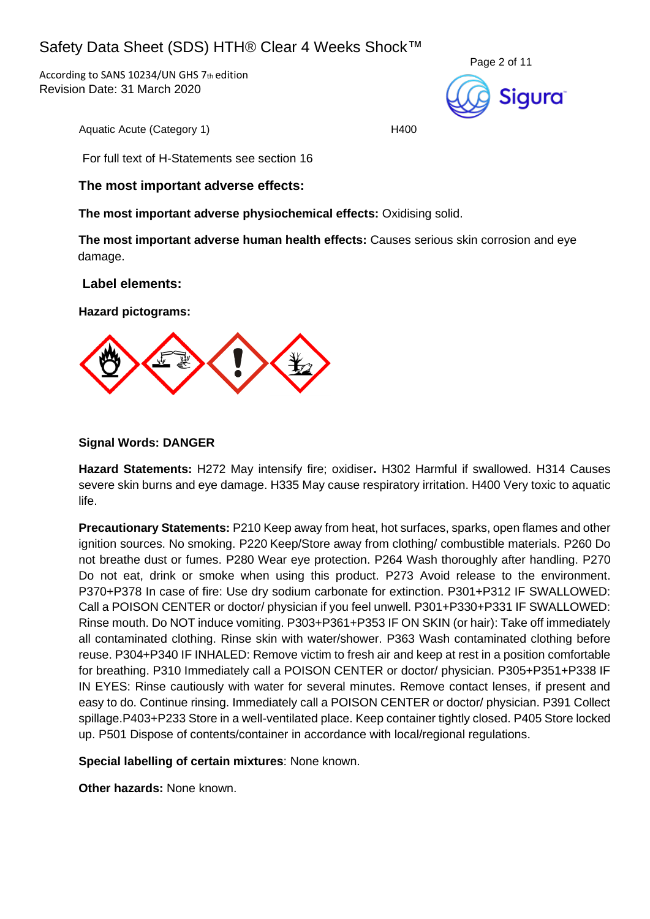According to SANS 10234/UN GHS 7th edition Revision Date: 31 March 2020



Aquatic Acute (Category 1) H400

For full text of H-Statements see section 16

### **The most important adverse effects:**

**The most important adverse physiochemical effects:** Oxidising solid.

**The most important adverse human health effects:** Causes serious skin corrosion and eye damage.

#### **Label elements:**

**Hazard pictograms:**



#### **Signal Words: DANGER**

**Hazard Statements:** H272 May intensify fire; oxidiser**.** H302 Harmful if swallowed. H314 Causes severe skin burns and eye damage. H335 May cause respiratory irritation. H400 Very toxic to aquatic life.

**Precautionary Statements:** P210 Keep away from heat, hot surfaces, sparks, open flames and other ignition sources. No smoking. P220 Keep/Store away from clothing/ combustible materials. P260 Do not breathe dust or fumes. P280 Wear eye protection. P264 Wash thoroughly after handling. P270 Do not eat, drink or smoke when using this product. P273 Avoid release to the environment. P370+P378 In case of fire: Use dry sodium carbonate for extinction. P301+P312 IF SWALLOWED: Call a POISON CENTER or doctor/ physician if you feel unwell. P301+P330+P331 IF SWALLOWED: Rinse mouth. Do NOT induce vomiting. P303+P361+P353 IF ON SKIN (or hair): Take off immediately all contaminated clothing. Rinse skin with water/shower. P363 Wash contaminated clothing before reuse. P304+P340 IF INHALED: Remove victim to fresh air and keep at rest in a position comfortable for breathing. P310 Immediately call a POISON CENTER or doctor/ physician. P305+P351+P338 IF IN EYES: Rinse cautiously with water for several minutes. Remove contact lenses, if present and easy to do. Continue rinsing. Immediately call a POISON CENTER or doctor/ physician. P391 Collect spillage.P403+P233 Store in a well-ventilated place. Keep container tightly closed. P405 Store locked up. P501 Dispose of contents/container in accordance with local/regional regulations.

**Special labelling of certain mixtures**: None known.

**Other hazards:** None known.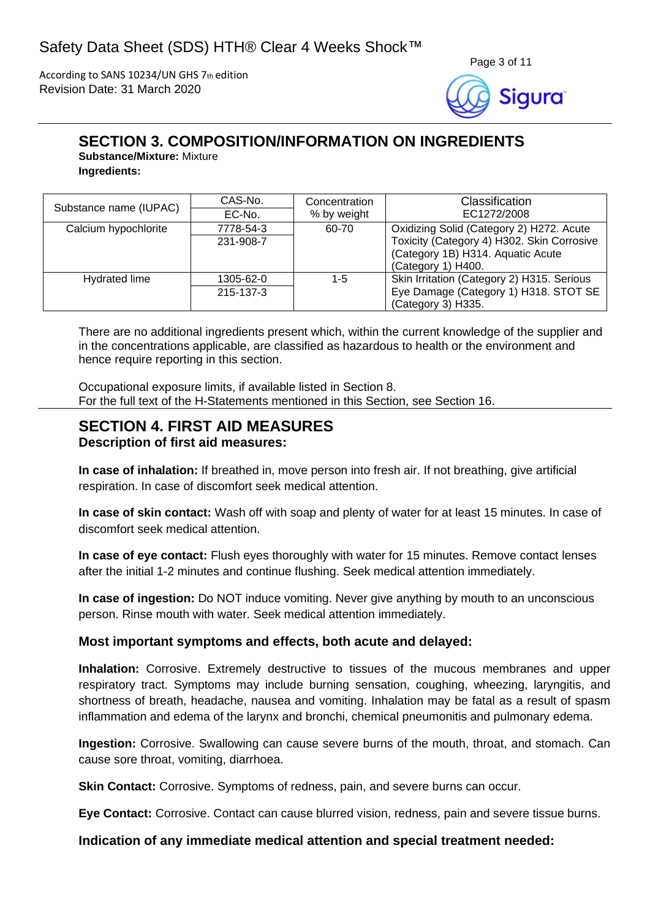According to SANS 10234/UN GHS 7th edition Revision Date: 31 March 2020



# **SECTION 3. COMPOSITION/INFORMATION ON INGREDIENTS**

**Substance/Mixture:** Mixture **Ingredients:**

| Substance name (IUPAC) | CAS-No.   | Concentration | Classification                             |
|------------------------|-----------|---------------|--------------------------------------------|
|                        | EC-No.    | % by weight   | EC1272/2008                                |
| Calcium hypochlorite   | 7778-54-3 | 60-70         | Oxidizing Solid (Category 2) H272. Acute   |
|                        | 231-908-7 |               | Toxicity (Category 4) H302. Skin Corrosive |
|                        |           |               | (Category 1B) H314. Aquatic Acute          |
|                        |           |               | (Category 1) H400.                         |
| Hydrated lime          | 1305-62-0 | 1-5           | Skin Irritation (Category 2) H315. Serious |
|                        | 215-137-3 |               | Eye Damage (Category 1) H318. STOT SE      |
|                        |           |               | (Category 3) H335.                         |

There are no additional ingredients present which, within the current knowledge of the supplier and in the concentrations applicable, are classified as hazardous to health or the environment and hence require reporting in this section.

Occupational exposure limits, if available listed in Section 8. For the full text of the H-Statements mentioned in this Section, see Section 16.

### **SECTION 4. FIRST AID MEASURES Description of first aid measures:**

**In case of inhalation:** If breathed in, move person into fresh air. If not breathing, give artificial respiration. In case of discomfort seek medical attention.

**In case of skin contact:** Wash off with soap and plenty of water for at least 15 minutes. In case of discomfort seek medical attention.

**In case of eye contact:** Flush eyes thoroughly with water for 15 minutes. Remove contact lenses after the initial 1-2 minutes and continue flushing. Seek medical attention immediately.

**In case of ingestion:** Do NOT induce vomiting. Never give anything by mouth to an unconscious person. Rinse mouth with water. Seek medical attention immediately.

### **Most important symptoms and effects, both acute and delayed:**

**Inhalation:** Corrosive. Extremely destructive to tissues of the mucous membranes and upper respiratory tract. Symptoms may include burning sensation, coughing, wheezing, laryngitis, and shortness of breath, headache, nausea and vomiting. Inhalation may be fatal as a result of spasm inflammation and edema of the larynx and bronchi, chemical pneumonitis and pulmonary edema.

**Ingestion:** Corrosive. Swallowing can cause severe burns of the mouth, throat, and stomach. Can cause sore throat, vomiting, diarrhoea.

**Skin Contact:** Corrosive. Symptoms of redness, pain, and severe burns can occur.

**Eye Contact:** Corrosive. Contact can cause blurred vision, redness, pain and severe tissue burns.

### **Indication of any immediate medical attention and special treatment needed:**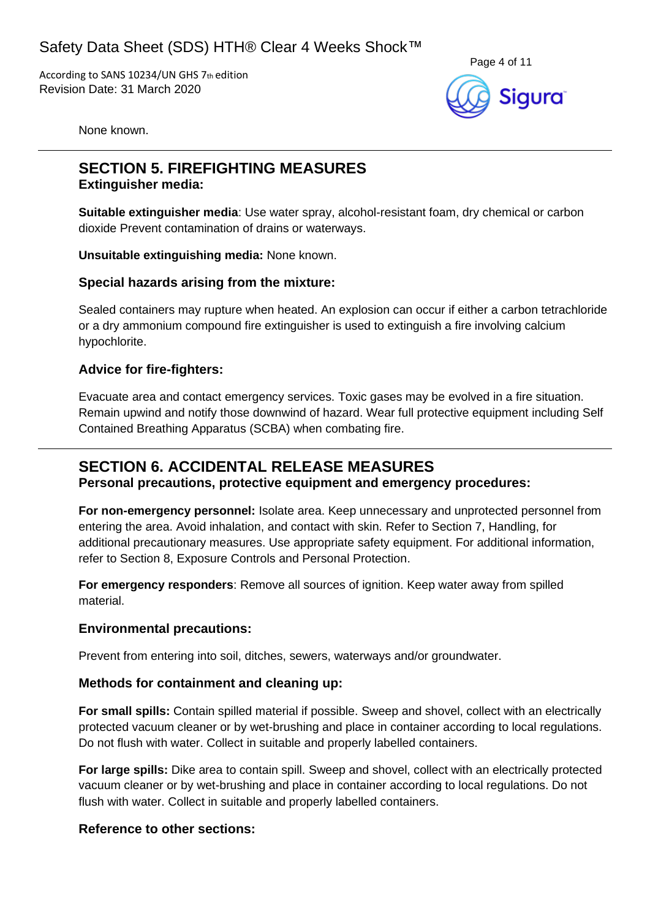According to SANS 10234/UN GHS 7th edition Revision Date: 31 March 2020



None known.

## **SECTION 5. FIREFIGHTING MEASURES Extinguisher media:**

**Suitable extinguisher media**: Use water spray, alcohol-resistant foam, dry chemical or carbon dioxide Prevent contamination of drains or waterways.

**Unsuitable extinguishing media:** None known.

### **Special hazards arising from the mixture:**

Sealed containers may rupture when heated. An explosion can occur if either a carbon tetrachloride or a dry ammonium compound fire extinguisher is used to extinguish a fire involving calcium hypochlorite.

### **Advice for fire-fighters:**

Evacuate area and contact emergency services. Toxic gases may be evolved in a fire situation. Remain upwind and notify those downwind of hazard. Wear full protective equipment including Self Contained Breathing Apparatus (SCBA) when combating fire.

## **SECTION 6. ACCIDENTAL RELEASE MEASURES**

**Personal precautions, protective equipment and emergency procedures:**

**For non-emergency personnel:** Isolate area. Keep unnecessary and unprotected personnel from entering the area. Avoid inhalation, and contact with skin. Refer to Section 7, Handling, for additional precautionary measures. Use appropriate safety equipment. For additional information, refer to Section 8, Exposure Controls and Personal Protection.

**For emergency responders**: Remove all sources of ignition. Keep water away from spilled material.

### **Environmental precautions:**

Prevent from entering into soil, ditches, sewers, waterways and/or groundwater.

### **Methods for containment and cleaning up:**

**For small spills:** Contain spilled material if possible. Sweep and shovel, collect with an electrically protected vacuum cleaner or by wet-brushing and place in container according to local regulations. Do not flush with water. Collect in suitable and properly labelled containers.

**For large spills:** Dike area to contain spill. Sweep and shovel, collect with an electrically protected vacuum cleaner or by wet-brushing and place in container according to local regulations. Do not flush with water. Collect in suitable and properly labelled containers.

### **Reference to other sections:**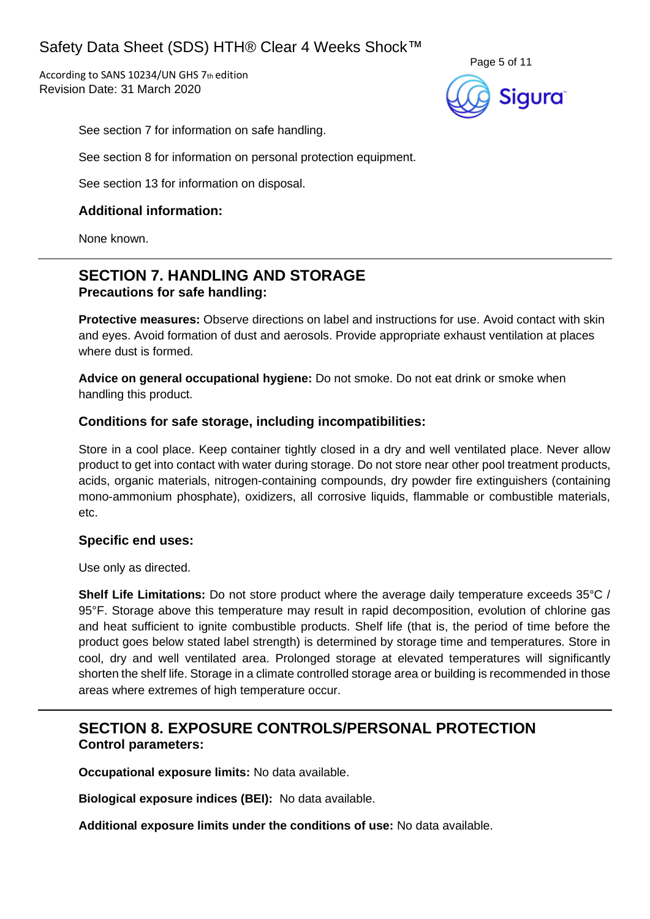According to SANS 10234/UN GHS 7th edition Revision Date: 31 March 2020



See section 7 for information on safe handling.

See section 8 for information on personal protection equipment.

See section 13 for information on disposal.

### **Additional information:**

None known.

## **SECTION 7. HANDLING AND STORAGE Precautions for safe handling:**

**Protective measures:** Observe directions on label and instructions for use. Avoid contact with skin and eyes. Avoid formation of dust and aerosols. Provide appropriate exhaust ventilation at places where dust is formed.

**Advice on general occupational hygiene:** Do not smoke. Do not eat drink or smoke when handling this product.

### **Conditions for safe storage, including incompatibilities:**

Store in a cool place. Keep container tightly closed in a dry and well ventilated place. Never allow product to get into contact with water during storage. Do not store near other pool treatment products, acids, organic materials, nitrogen-containing compounds, dry powder fire extinguishers (containing mono-ammonium phosphate), oxidizers, all corrosive liquids, flammable or combustible materials, etc.

### **Specific end uses:**

Use only as directed.

**Shelf Life Limitations:** Do not store product where the average daily temperature exceeds 35°C / 95°F. Storage above this temperature may result in rapid decomposition, evolution of chlorine gas and heat sufficient to ignite combustible products. Shelf life (that is, the period of time before the product goes below stated label strength) is determined by storage time and temperatures. Store in cool, dry and well ventilated area. Prolonged storage at elevated temperatures will significantly shorten the shelf life. Storage in a climate controlled storage area or building is recommended in those areas where extremes of high temperature occur.

## **SECTION 8. EXPOSURE CONTROLS/PERSONAL PROTECTION Control parameters:**

**Occupational exposure limits:** No data available.

**Biological exposure indices (BEI):** No data available.

**Additional exposure limits under the conditions of use:** No data available.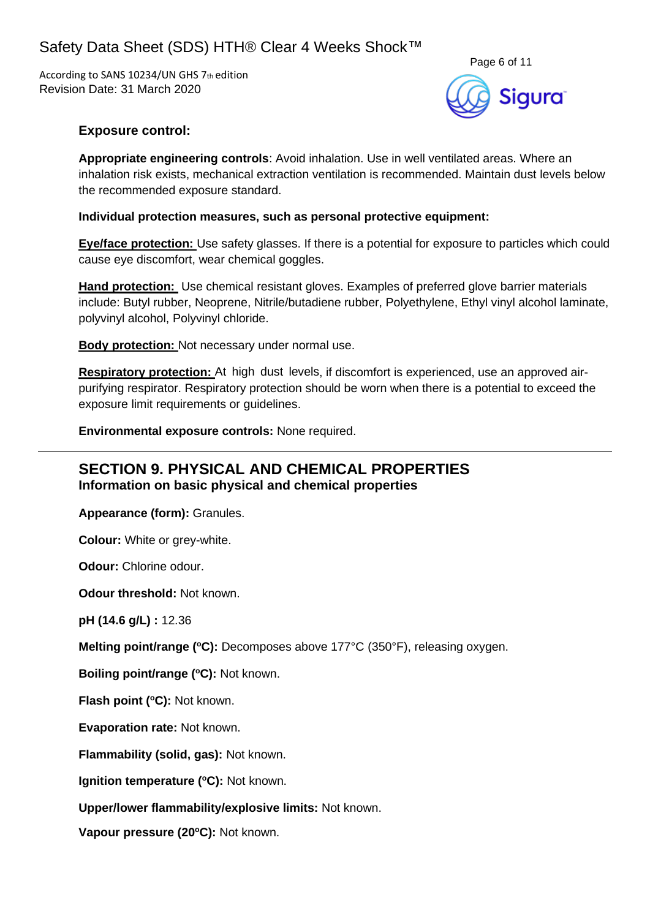According to SANS 10234/UN GHS 7th edition Revision Date: 31 March 2020

![](_page_5_Picture_2.jpeg)

### **Exposure control:**

**Appropriate engineering controls**: Avoid inhalation. Use in well ventilated areas. Where an inhalation risk exists, mechanical extraction ventilation is recommended. Maintain dust levels below the recommended exposure standard.

#### **Individual protection measures, such as personal protective equipment:**

**Eye/face protection:** Use safety glasses. If there is a potential for exposure to particles which could cause eye discomfort, wear chemical goggles.

**Hand protection:** Use chemical resistant gloves. Examples of preferred glove barrier materials include: Butyl rubber, Neoprene, Nitrile/butadiene rubber, Polyethylene, Ethyl vinyl alcohol laminate, polyvinyl alcohol, Polyvinyl chloride.

**Body protection:** Not necessary under normal use.

**Respiratory protection:** At high dust levels, if discomfort is experienced, use an approved airpurifying respirator. Respiratory protection should be worn when there is a potential to exceed the exposure limit requirements or guidelines.

**Environmental exposure controls:** None required.

### **SECTION 9. PHYSICAL AND CHEMICAL PROPERTIES Information on basic physical and chemical properties**

**Appearance (form):** Granules.

**Colour:** White or grey-white.

**Odour:** Chlorine odour.

**Odour threshold:** Not known.

**pH (14.6 g/L) :** 12.36

**Melting point/range (°C):** Decomposes above 177°C (350°F), releasing oxygen.

**Boiling point/range (<sup>o</sup>C):** Not known.

**Flash point (<sup>o</sup>C):** Not known.

**Evaporation rate:** Not known.

**Flammability (solid, gas):** Not known.

**Ignition temperature (°C):** Not known.

**Upper/lower flammability/explosive limits:** Not known.

**Vapour pressure (20oC):** Not known.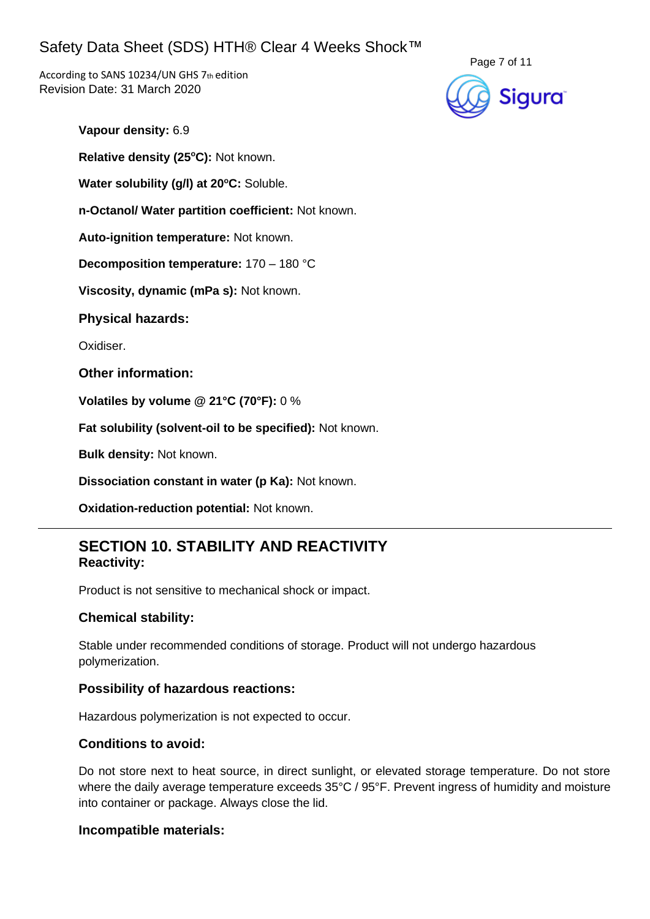According to SANS 10234/UN GHS 7th edition Revision Date: 31 March 2020

![](_page_6_Picture_2.jpeg)

**Vapour density:** 6.9

**Relative density (25 <sup>o</sup>C):** Not known.

**Water solubility (g/l) at 20<sup>o</sup>C:** Soluble.

**n-Octanol/ Water partition coefficient:** Not known.

**Auto-ignition temperature:** Not known.

**Decomposition temperature:** 170 – 180 °C

**Viscosity, dynamic (mPa s):** Not known.

**Physical hazards:**

Oxidiser.

**Other information:**

**Volatiles by volume @ 21°C (70°F):** 0 %

**Fat solubility (solvent-oil to be specified):** Not known.

**Bulk density:** Not known.

**Dissociation constant in water (p Ka):** Not known.

**Oxidation-reduction potential:** Not known.

## **SECTION 10. STABILITY AND REACTIVITY Reactivity:**

Product is not sensitive to mechanical shock or impact.

### **Chemical stability:**

Stable under recommended conditions of storage. Product will not undergo hazardous polymerization.

#### **Possibility of hazardous reactions:**

Hazardous polymerization is not expected to occur.

#### **Conditions to avoid:**

Do not store next to heat source, in direct sunlight, or elevated storage temperature. Do not store where the daily average temperature exceeds 35°C / 95°F. Prevent ingress of humidity and moisture into container or package. Always close the lid.

#### **Incompatible materials:**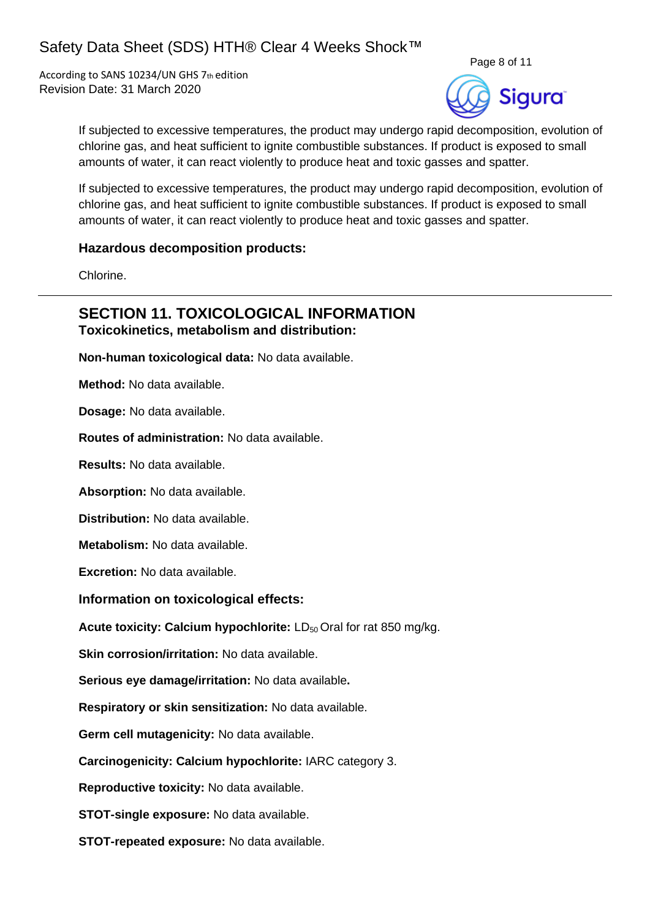According to SANS 10234/UN GHS 7th edition Revision Date: 31 March 2020

![](_page_7_Picture_2.jpeg)

If subjected to excessive temperatures, the product may undergo rapid decomposition, evolution of chlorine gas, and heat sufficient to ignite combustible substances. If product is exposed to small amounts of water, it can react violently to produce heat and toxic gasses and spatter.

If subjected to excessive temperatures, the product may undergo rapid decomposition, evolution of chlorine gas, and heat sufficient to ignite combustible substances. If product is exposed to small amounts of water, it can react violently to produce heat and toxic gasses and spatter.

#### **Hazardous decomposition products:**

Chlorine.

### **SECTION 11. TOXICOLOGICAL INFORMATION Toxicokinetics, metabolism and distribution:**

**Non-human toxicological data:** No data available.

**Method:** No data available.

**Dosage:** No data available.

**Routes of administration:** No data available.

**Results:** No data available.

**Absorption:** No data available.

**Distribution:** No data available.

**Metabolism:** No data available.

**Excretion:** No data available.

### **Information on toxicological effects:**

**Acute toxicity: Calcium hypochlorite: LD<sub>50</sub> Oral for rat 850 mg/kg.** 

**Skin corrosion/irritation:** No data available.

**Serious eye damage/irritation:** No data available**.**

**Respiratory or skin sensitization:** No data available.

**Germ cell mutagenicity:** No data available.

**Carcinogenicity: Calcium hypochlorite:** IARC category 3.

**Reproductive toxicity:** No data available.

**STOT-single exposure:** No data available.

**STOT-repeated exposure:** No data available.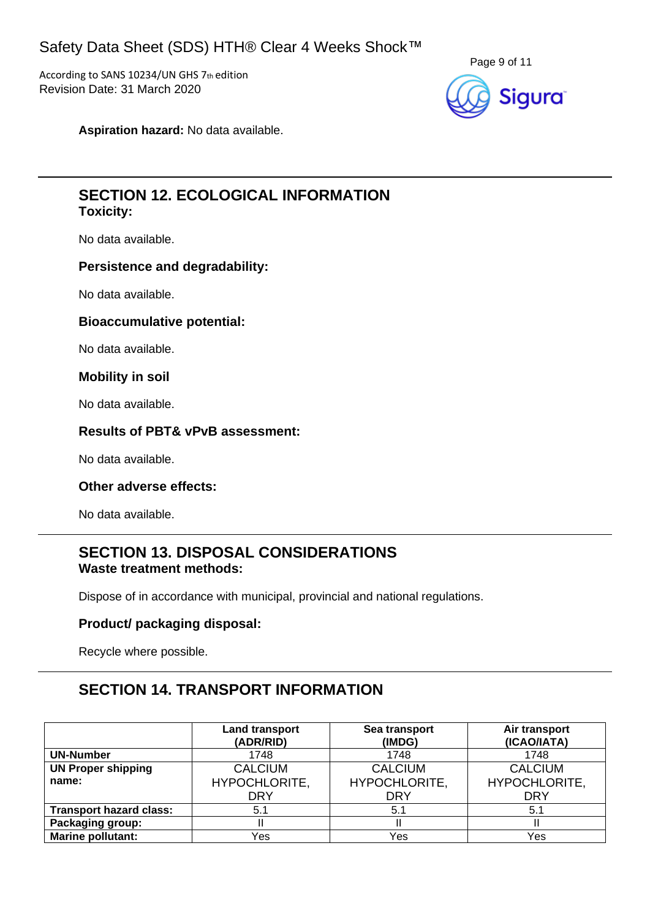According to SANS 10234/UN GHS 7th edition Revision Date: 31 March 2020

![](_page_8_Picture_2.jpeg)

**Aspiration hazard:** No data available.

## **SECTION 12. ECOLOGICAL INFORMATION Toxicity:**

No data available.

#### **Persistence and degradability:**

No data available.

#### **Bioaccumulative potential:**

No data available.

### **Mobility in soil**

No data available.

#### **Results of PBT& vPvB assessment:**

No data available.

#### **Other adverse effects:**

No data available.

## **SECTION 13. DISPOSAL CONSIDERATIONS Waste treatment methods:**

Dispose of in accordance with municipal, provincial and national regulations.

### **Product/ packaging disposal:**

Recycle where possible.

# **SECTION 14. TRANSPORT INFORMATION**

|                                | <b>Land transport</b><br>(ADR/RID) | Sea transport<br>(IMDG) | Air transport<br>(ICAO/IATA) |
|--------------------------------|------------------------------------|-------------------------|------------------------------|
| <b>UN-Number</b>               | 1748                               | 1748                    | 1748                         |
| <b>UN Proper shipping</b>      | <b>CALCIUM</b>                     | <b>CALCIUM</b>          | <b>CALCIUM</b>               |
| name:                          | HYPOCHLORITE,                      | HYPOCHLORITE,           | HYPOCHLORITE,                |
|                                | <b>DRY</b>                         | <b>DRY</b>              | <b>DRY</b>                   |
| <b>Transport hazard class:</b> | 5.1                                | 5.1                     | 5.1                          |
| Packaging group:               |                                    |                         |                              |
| <b>Marine pollutant:</b>       | Yes                                | Yes                     | Yes                          |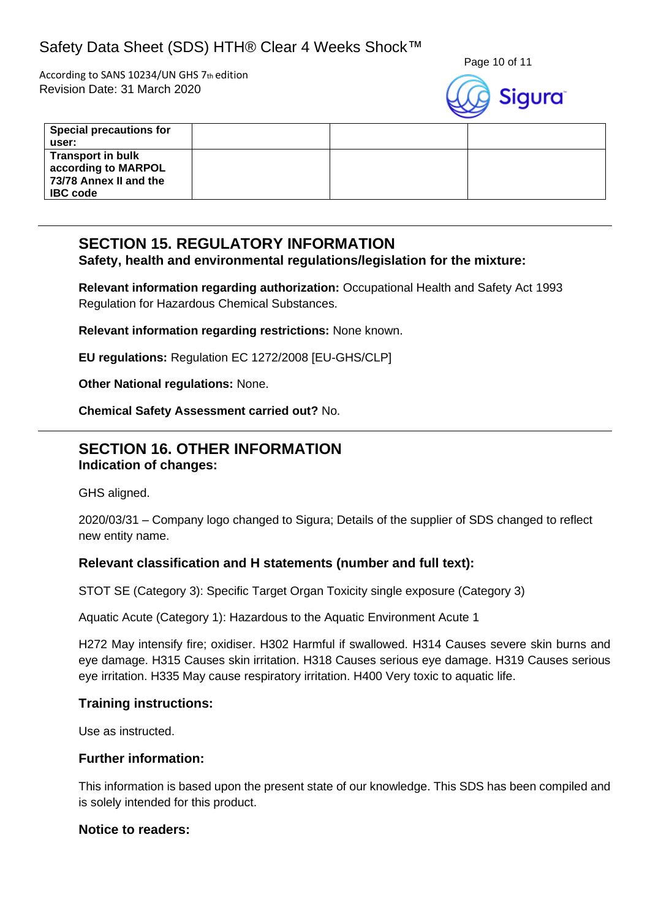According to SANS 10234/UN GHS 7th edition Revision Date: 31 March 2020

![](_page_9_Picture_3.jpeg)

| <b>Special precautions for</b><br>user:                                                      |  |  |
|----------------------------------------------------------------------------------------------|--|--|
| <b>Transport in bulk</b><br>according to MARPOL<br>73/78 Annex II and the<br><b>IBC</b> code |  |  |

# **SECTION 15. REGULATORY INFORMATION**

### **Safety, health and environmental regulations/legislation for the mixture:**

**Relevant information regarding authorization:** Occupational Health and Safety Act 1993 Regulation for Hazardous Chemical Substances.

**Relevant information regarding restrictions:** None known.

**EU regulations:** Regulation EC 1272/2008 [EU-GHS/CLP]

**Other National regulations:** None.

**Chemical Safety Assessment carried out?** No.

## **SECTION 16. OTHER INFORMATION Indication of changes:**

GHS aligned.

2020/03/31 – Company logo changed to Sigura; Details of the supplier of SDS changed to reflect new entity name.

### **Relevant classification and H statements (number and full text):**

STOT SE (Category 3): Specific Target Organ Toxicity single exposure (Category 3)

Aquatic Acute (Category 1): Hazardous to the Aquatic Environment Acute 1

H272 May intensify fire; oxidiser. H302 Harmful if swallowed. H314 Causes severe skin burns and eye damage. H315 Causes skin irritation. H318 Causes serious eye damage. H319 Causes serious eye irritation. H335 May cause respiratory irritation. H400 Very toxic to aquatic life.

### **Training instructions:**

Use as instructed.

### **Further information:**

This information is based upon the present state of our knowledge. This SDS has been compiled and is solely intended for this product.

### **Notice to readers:**